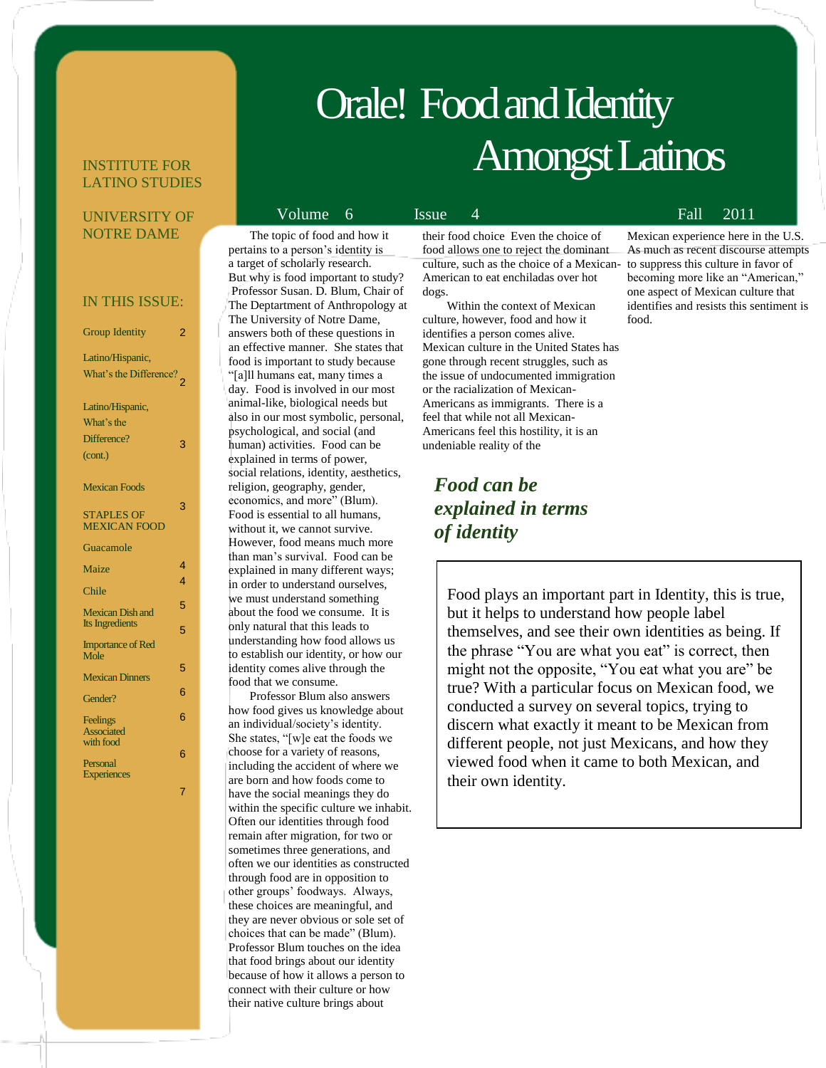# Orale! Food and Identity Amongst Latinos

### INSTITUTE FOR LATINO STUDIES

### UNIVERSITY OF NOTRE DAME

### IN THIS ISSUE:

| <b>Group Identity</b>                      | 2 |
|--------------------------------------------|---|
| Latino/Hispanic,<br>What's the Difference? |   |
| Latino/Hispanic,                           |   |
| What's the<br>Difference?                  |   |
| (cont.)                                    | 3 |
| <b>Mexican Foods</b>                       | 3 |
| <b>STAPLES OF</b><br><b>MEXICAN FOOD</b>   |   |
| Guacamole                                  |   |
| Maize                                      | 4 |
| Chile                                      | 4 |
| <b>Mexican Dish and</b>                    | 5 |
| Its Ingredients                            | 5 |
| <b>Importance of Red</b><br>Mole           |   |
| <b>Mexican Dinners</b>                     | 5 |
| Gender?                                    | 6 |
| Feelings<br><b>Associated</b><br>with food | 6 |
| Personal<br><b>Experiences</b>             | 6 |
|                                            | 7 |

### The topic of food and how it pertains to a person's identity is a target of scholarly research. But why is food important to study? Professor Susan. D. Blum, Chair of

The Deptartment of Anthropology at The University of Notre Dame, answers both of these questions in an effective manner. She states that food is important to study because "[a]ll humans eat, many times a day. Food is involved in our most animal-like, biological needs but also in our most symbolic, personal, psychological, and social (and human) activities. Food can be explained in terms of power, social relations, identity, aesthetics, religion, geography, gender, economics, and more" (Blum). Food is essential to all humans, without it, we cannot survive. However, food means much more than man's survival. Food can be explained in many different ways; in order to understand ourselves, we must understand something about the food we consume. It is only natural that this leads to understanding how food allows us to establish our identity, or how our identity comes alive through the food that we consume.

 Professor Blum also answers how food gives us knowledge about an individual/society's identity. She states, "[w]e eat the foods we choose for a variety of reasons, including the accident of where we are born and how foods come to have the social meanings they do within the specific culture we inhabit. Often our identities through food remain after migration, for two or sometimes three generations, and often we our identities as constructed through food are in opposition to other groups' foodways. Always, these choices are meaningful, and they are never obvious or sole set of choices that can be made" (Blum). Professor Blum touches on the idea that food brings about our identity because of how it allows a person to connect with their culture or how their native culture brings about

their food choice Even the choice of food allows one to reject the dominant culture, such as the choice of a Mexican-to suppress this culture in favor of American to eat enchiladas over hot dogs.

 Within the context of Mexican culture, however, food and how it identifies a person comes alive. Mexican culture in the United States has gone through recent struggles, such as the issue of undocumented immigration or the racialization of Mexican-Americans as immigrants. There is a feel that while not all Mexican-Americans feel this hostility, it is an undeniable reality of the

## *Food can be explained in terms of identity*

Food plays an important part in Identity, this is true, but it helps to understand how people label themselves, and see their own identities as being. If the phrase "You are what you eat" is correct, then might not the opposite, "You eat what you are" be true? With a particular focus on Mexican food, we conducted a survey on several topics, trying to discern what exactly it meant to be Mexican from different people, not just Mexicans, and how they viewed food when it came to both Mexican, and their own identity.

## Volume 6 Issue 4 Fall 2011

Mexican experience here in the U.S. As much as recent discourse attempts becoming more like an "American," one aspect of Mexican culture that identifies and resists this sentiment is food.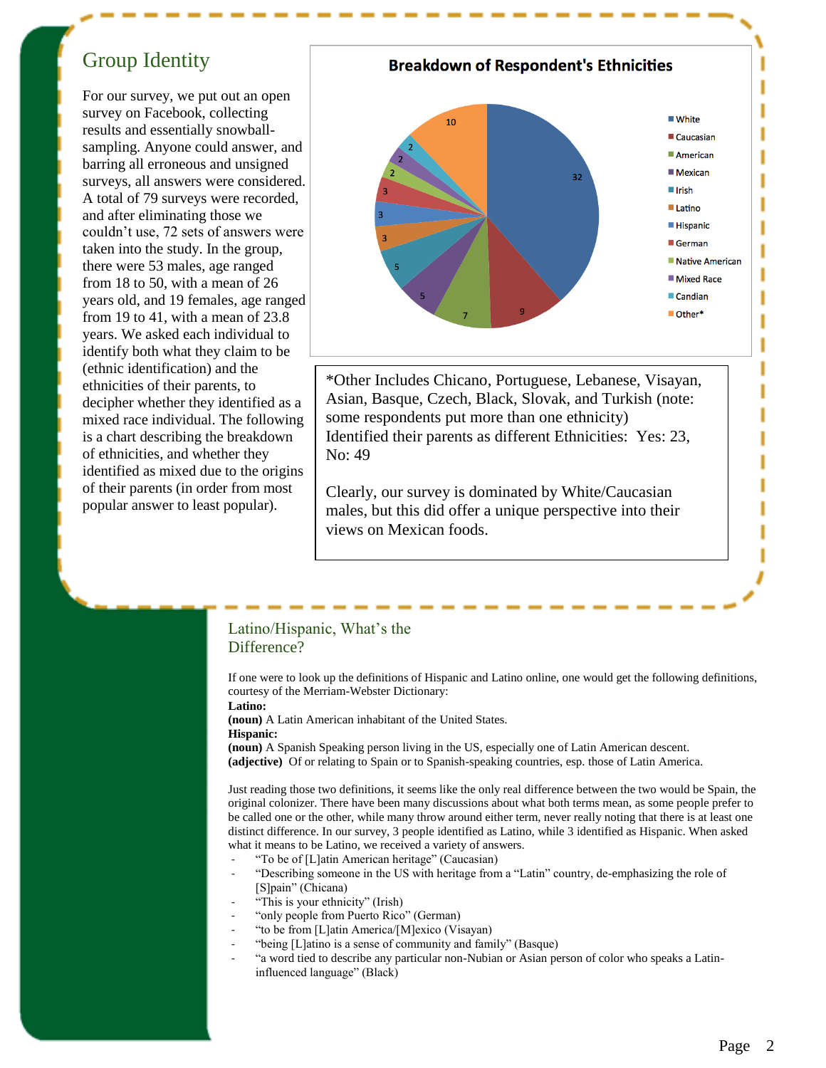## Group Identity

For our survey, we put out an open survey on Facebook, collecting results and essentially snowballsampling. Anyone could answer, and barring all erroneous and unsigned surveys, all answers were considered. A total of 79 surveys were recorded, and after eliminating those we couldn't use, 72 sets of answers were taken into the study. In the group, there were 53 males, age ranged from 18 to 50, with a mean of 26 years old, and 19 females, age ranged from 19 to 41, with a mean of 23.8 years. We asked each individual to identify both what they claim to be (ethnic identification) and the ethnicities of their parents, to decipher whether they identified as a mixed race individual. The following is a chart describing the breakdown of ethnicities, and whether they identified as mixed due to the origins of their parents (in order from most popular answer to least popular).



Clearly, our survey is dominated by White/Caucasian males, but this did offer a unique perspective into their views on Mexican foods.

### Latino/Hispanic, What's the Difference?

If one were to look up the definitions of Hispanic and Latino online, one would get the following definitions, courtesy of the Merriam-Webster Dictionary:

**Latino:** 

**(noun)** A Latin American inhabitant of the United States.

**Hispanic:** 

**(noun)** A Spanish Speaking person living in the US, especially one of Latin American descent. **(adjective)** Of or relating to Spain or to Spanish-speaking countries, esp. those of Latin America.

Just reading those two definitions, it seems like the only real difference between the two would be Spain, the original colonizer. There have been many discussions about what both terms mean, as some people prefer to be called one or the other, while many throw around either term, never really noting that there is at least one distinct difference. In our survey, 3 people identified as Latino, while 3 identified as Hispanic. When asked what it means to be Latino, we received a variety of answers.

- "To be of [L]atin American heritage" (Caucasian)
- "Describing someone in the US with heritage from a "Latin" country, de-emphasizing the role of [S]pain" (Chicana)
- "This is your ethnicity" (Irish)
- "only people from Puerto Rico" (German)
- "to be from [L]atin America/[M]exico (Visayan)
- "being [L]atino is a sense of community and family" (Basque)
	- "a word tied to describe any particular non-Nubian or Asian person of color who speaks a Latininfluenced language" (Black)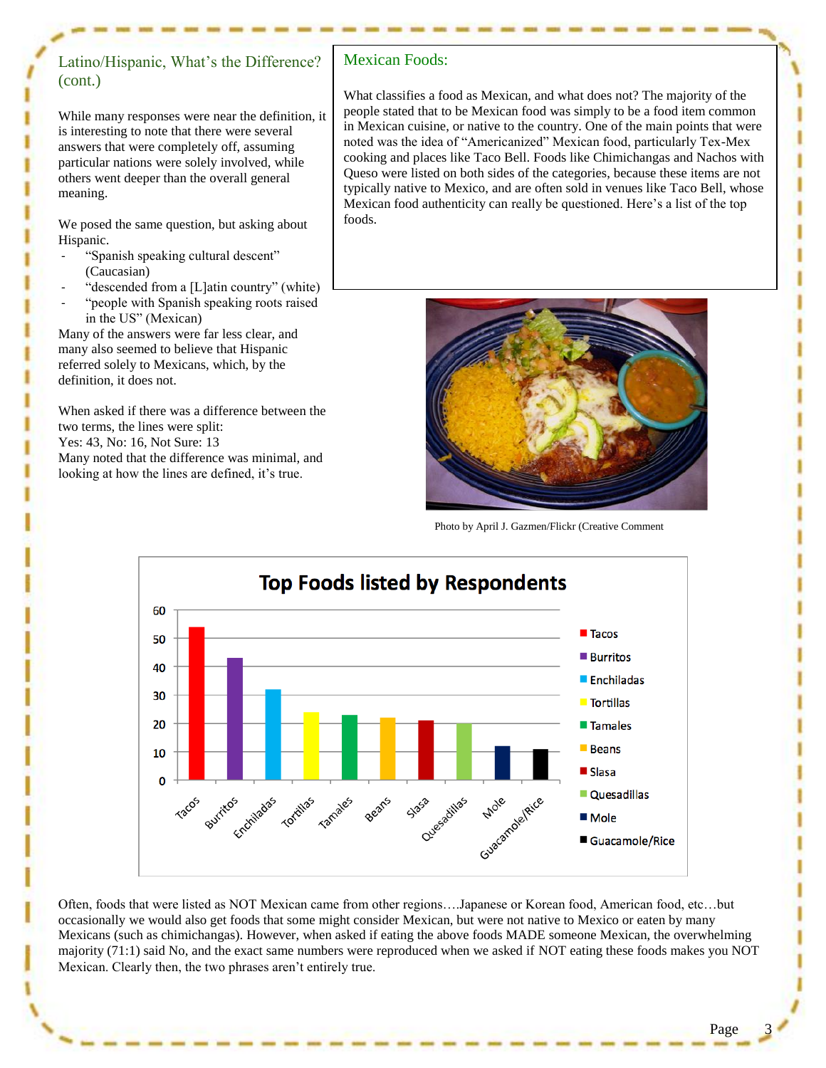## Latino/Hispanic, What's the Difference? (cont.)

While many responses were near the definition, it is interesting to note that there were several answers that were completely off, assuming particular nations were solely involved, while others went deeper than the overall general meaning.

We posed the same question, but asking about Hispanic.

- "Spanish speaking cultural descent" (Caucasian)
- "descended from a [L]atin country" (white)
- "people with Spanish speaking roots raised in the US" (Mexican)

Many of the answers were far less clear, and many also seemed to believe that Hispanic referred solely to Mexicans, which, by the definition, it does not.

When asked if there was a difference between the two terms, the lines were split: Yes: 43, No: 16, Not Sure: 13 Many noted that the difference was minimal, and

looking at how the lines are defined, it's true.

## Mexican Foods:

What classifies a food as Mexican, and what does not? The majority of the people stated that to be Mexican food was simply to be a food item common in Mexican cuisine, or native to the country. One of the main points that were noted was the idea of "Americanized" Mexican food, particularly Tex-Mex cooking and places like Taco Bell. Foods like Chimichangas and Nachos with Queso were listed on both sides of the categories, because these items are not typically native to Mexico, and are often sold in venues like Taco Bell, whose Mexican food authenticity can really be questioned. Here's a list of the top foods.



Photo by April J. Gazmen/Flickr (Creative Comment



Often, foods that were listed as NOT Mexican came from other regions….Japanese or Korean food, American food, etc…but occasionally we would also get foods that some might consider Mexican, but were not native to Mexico or eaten by many Mexicans (such as chimichangas). However, when asked if eating the above foods MADE someone Mexican, the overwhelming majority (71:1) said No, and the exact same numbers were reproduced when we asked if NOT eating these foods makes you NOT Mexican. Clearly then, the two phrases aren't entirely true.

Ī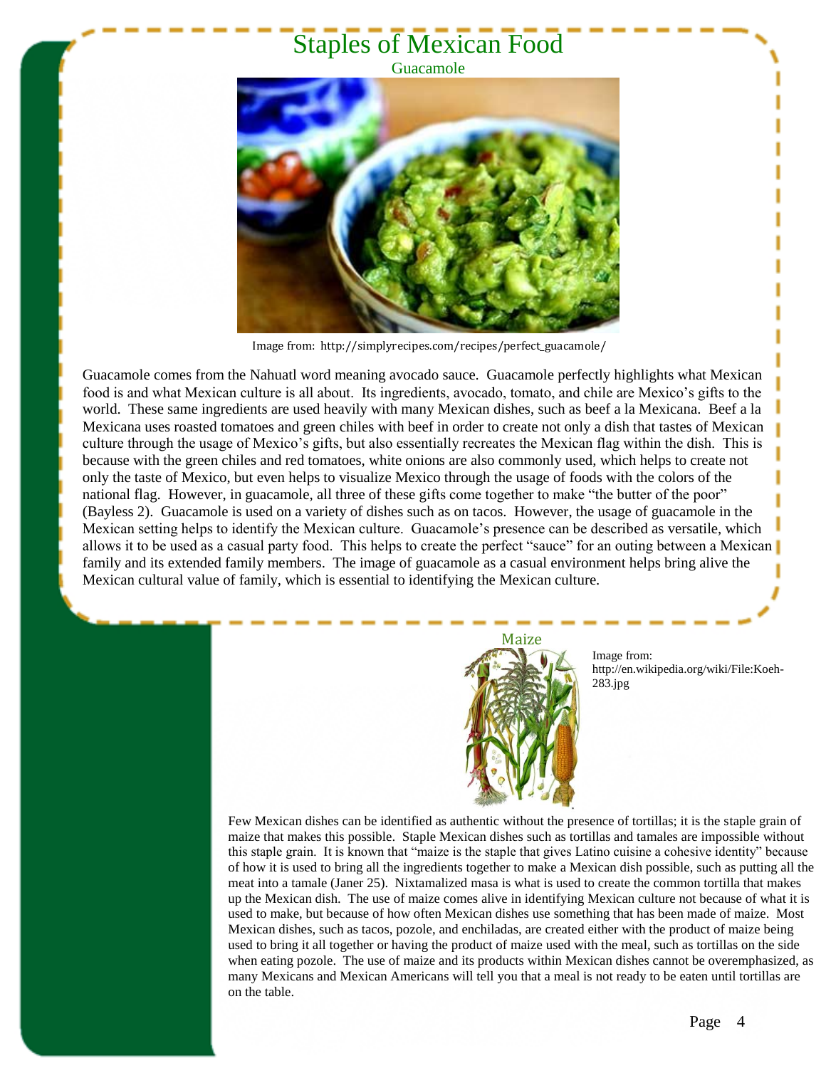## Staples of Mexican Food

### Guacamole



Image from: http://simplyrecipes.com/recipes/perfect\_guacamole/

Guacamole comes from the Nahuatl word meaning avocado sauce. Guacamole perfectly highlights what Mexican food is and what Mexican culture is all about. Its ingredients, avocado, tomato, and chile are Mexico's gifts to the world. These same ingredients are used heavily with many Mexican dishes, such as beef a la Mexicana. Beef a la Mexicana uses roasted tomatoes and green chiles with beef in order to create not only a dish that tastes of Mexican culture through the usage of Mexico's gifts, but also essentially recreates the Mexican flag within the dish. This is because with the green chiles and red tomatoes, white onions are also commonly used, which helps to create not only the taste of Mexico, but even helps to visualize Mexico through the usage of foods with the colors of the national flag. However, in guacamole, all three of these gifts come together to make "the butter of the poor" (Bayless 2). Guacamole is used on a variety of dishes such as on tacos. However, the usage of guacamole in the Mexican setting helps to identify the Mexican culture. Guacamole's presence can be described as versatile, which allows it to be used as a casual party food. This helps to create the perfect "sauce" for an outing between a Mexican family and its extended family members. The image of guacamole as a casual environment helps bring alive the Mexican cultural value of family, which is essential to identifying the Mexican culture.



Image from: http://en.wikipedia.org/wiki/File:Koeh-283.jpg

Few Mexican dishes can be identified as authentic without the presence of tortillas; it is the staple grain of maize that makes this possible. Staple Mexican dishes such as tortillas and tamales are impossible without this staple grain. It is known that "maize is the staple that gives Latino cuisine a cohesive identity" because of how it is used to bring all the ingredients together to make a Mexican dish possible, such as putting all the meat into a tamale (Janer 25). Nixtamalized masa is what is used to create the common tortilla that makes up the Mexican dish. The use of maize comes alive in identifying Mexican culture not because of what it is used to make, but because of how often Mexican dishes use something that has been made of maize. Most Mexican dishes, such as tacos, pozole, and enchiladas, are created either with the product of maize being used to bring it all together or having the product of maize used with the meal, such as tortillas on the side when eating pozole. The use of maize and its products within Mexican dishes cannot be overemphasized, as many Mexicans and Mexican Americans will tell you that a meal is not ready to be eaten until tortillas are on the table.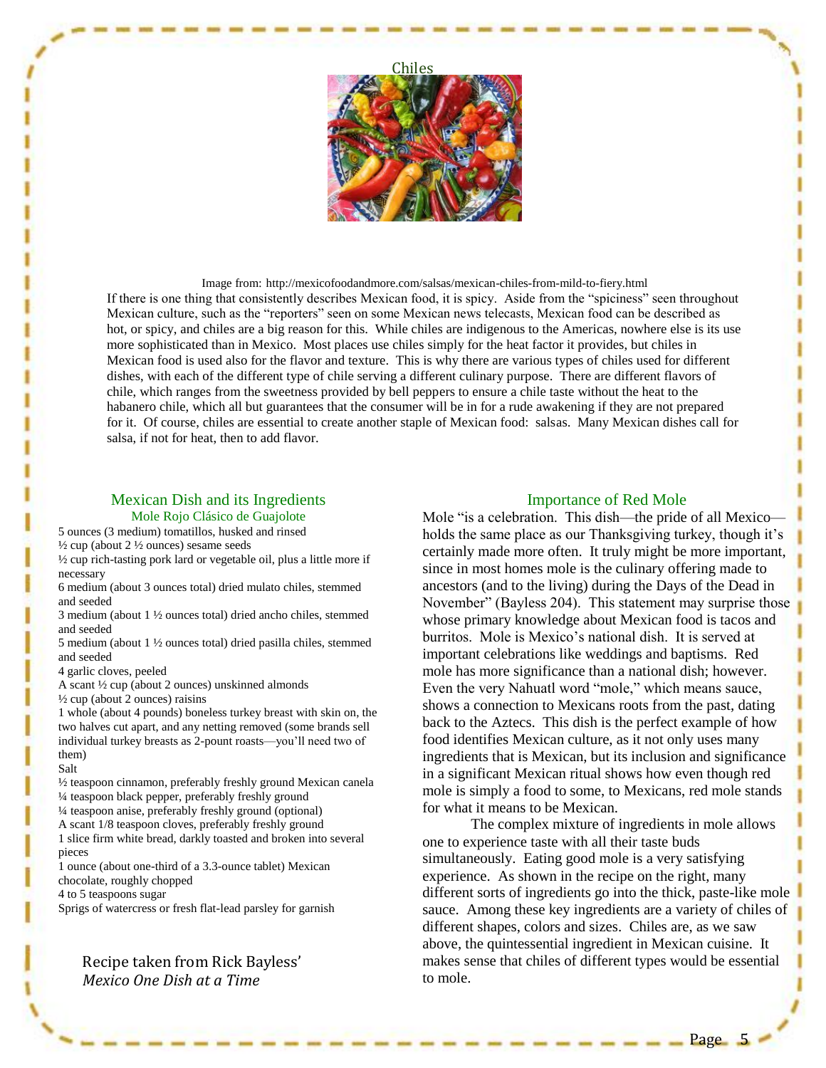

Image from: http://mexicofoodandmore.com/salsas/mexican-chiles-from-mild-to-fiery.html If there is one thing that consistently describes Mexican food, it is spicy. Aside from the "spiciness" seen throughout Mexican culture, such as the "reporters" seen on some Mexican news telecasts, Mexican food can be described as hot, or spicy, and chiles are a big reason for this. While chiles are indigenous to the Americas, nowhere else is its use more sophisticated than in Mexico. Most places use chiles simply for the heat factor it provides, but chiles in Mexican food is used also for the flavor and texture. This is why there are various types of chiles used for different dishes, with each of the different type of chile serving a different culinary purpose. There are different flavors of chile, which ranges from the sweetness provided by bell peppers to ensure a chile taste without the heat to the habanero chile, which all but guarantees that the consumer will be in for a rude awakening if they are not prepared for it. Of course, chiles are essential to create another staple of Mexican food: salsas. Many Mexican dishes call for salsa, if not for heat, then to add flavor.

### Mexican Dish and its Ingredients Mole Rojo Clásico de Guajolote

5 ounces (3 medium) tomatillos, husked and rinsed

 $\frac{1}{2}$  cup (about 2  $\frac{1}{2}$  ounces) sesame seeds

½ cup rich-tasting pork lard or vegetable oil, plus a little more if necessary

6 medium (about 3 ounces total) dried mulato chiles, stemmed and seeded

3 medium (about 1 ½ ounces total) dried ancho chiles, stemmed and seeded

5 medium (about 1 ½ ounces total) dried pasilla chiles, stemmed and seeded

4 garlic cloves, peeled

A scant ½ cup (about 2 ounces) unskinned almonds

 $\frac{1}{2}$  cup (about 2 ounces) raisins

1 whole (about 4 pounds) boneless turkey breast with skin on, the two halves cut apart, and any netting removed (some brands sell individual turkey breasts as 2-pount roasts—you'll need two of them)

#### Salt

½ teaspoon cinnamon, preferably freshly ground Mexican canela ¼ teaspoon black pepper, preferably freshly ground

¼ teaspoon anise, preferably freshly ground (optional)

A scant 1/8 teaspoon cloves, preferably freshly ground

1 slice firm white bread, darkly toasted and broken into several pieces

1 ounce (about one-third of a 3.3-ounce tablet) Mexican chocolate, roughly chopped

4 to 5 teaspoons sugar

Sprigs of watercress or fresh flat-lead parsley for garnish

Recipe taken from Rick Bayless' *Mexico One Dish at a Time*

### Importance of Red Mole

Mole "is a celebration. This dish—the pride of all Mexico holds the same place as our Thanksgiving turkey, though it's certainly made more often. It truly might be more important, since in most homes mole is the culinary offering made to ancestors (and to the living) during the Days of the Dead in November" (Bayless 204). This statement may surprise those whose primary knowledge about Mexican food is tacos and burritos. Mole is Mexico's national dish. It is served at important celebrations like weddings and baptisms. Red mole has more significance than a national dish; however. Even the very Nahuatl word "mole," which means sauce, shows a connection to Mexicans roots from the past, dating back to the Aztecs. This dish is the perfect example of how food identifies Mexican culture, as it not only uses many ingredients that is Mexican, but its inclusion and significance in a significant Mexican ritual shows how even though red mole is simply a food to some, to Mexicans, red mole stands for what it means to be Mexican.

The complex mixture of ingredients in mole allows one to experience taste with all their taste buds simultaneously. Eating good mole is a very satisfying experience. As shown in the recipe on the right, many different sorts of ingredients go into the thick, paste-like mole sauce. Among these key ingredients are a variety of chiles of different shapes, colors and sizes. Chiles are, as we saw above, the quintessential ingredient in Mexican cuisine. It makes sense that chiles of different types would be essential to mole.

Page 5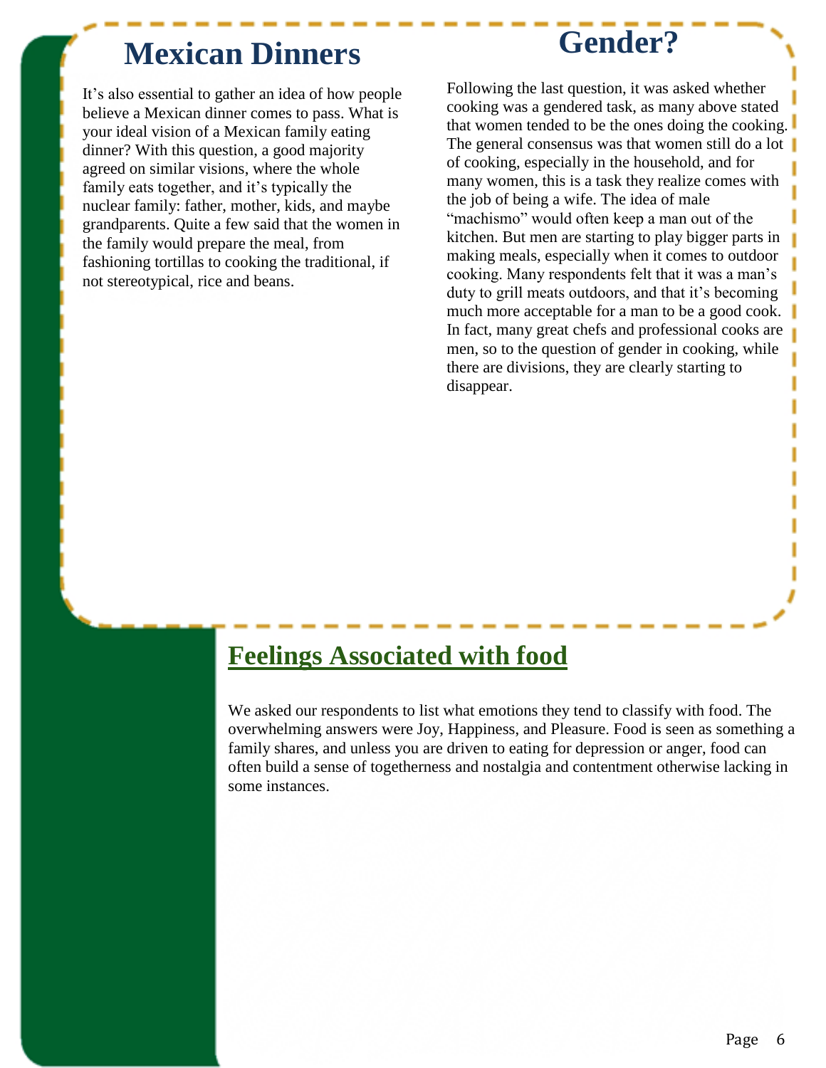## **Mexican Dinners**

**Gender?**

It's also essential to gather an idea of how people believe a Mexican dinner comes to pass. What is your ideal vision of a Mexican family eating dinner? With this question, a good majority agreed on similar visions, where the whole family eats together, and it's typically the nuclear family: father, mother, kids, and maybe grandparents. Quite a few said that the women in the family would prepare the meal, from fashioning tortillas to cooking the traditional, if not stereotypical, rice and beans.

Following the last question, it was asked whether cooking was a gendered task, as many above stated that women tended to be the ones doing the cooking. The general consensus was that women still do a lot of cooking, especially in the household, and for many women, this is a task they realize comes with the job of being a wife. The idea of male "machismo" would often keep a man out of the kitchen. But men are starting to play bigger parts in making meals, especially when it comes to outdoor cooking. Many respondents felt that it was a man's duty to grill meats outdoors, and that it's becoming much more acceptable for a man to be a good cook. In fact, many great chefs and professional cooks are men, so to the question of gender in cooking, while there are divisions, they are clearly starting to disappear.

## **Feelings Associated with food**

We asked our respondents to list what emotions they tend to classify with food. The overwhelming answers were Joy, Happiness, and Pleasure. Food is seen as something a family shares, and unless you are driven to eating for depression or anger, food can often build a sense of togetherness and nostalgia and contentment otherwise lacking in some instances.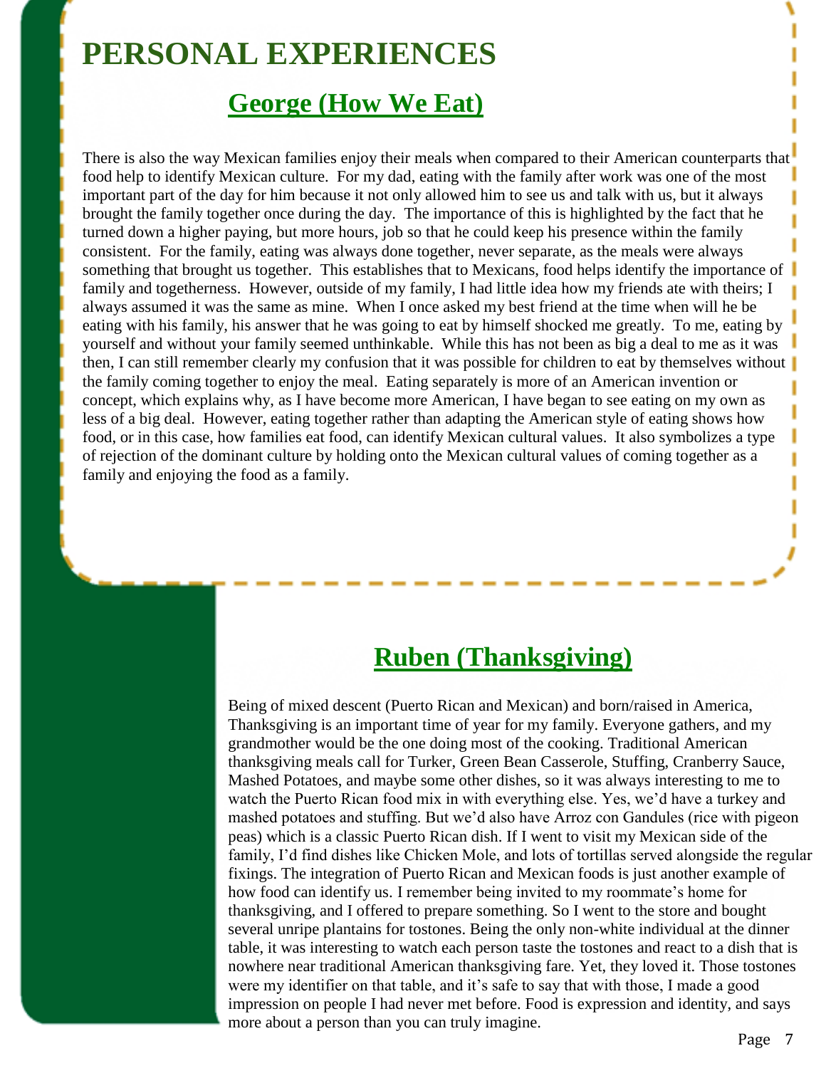## **PERSONAL EXPERIENCES**

## **George (How We Eat)**

There is also the way Mexican families enjoy their meals when compared to their American counterparts that food help to identify Mexican culture. For my dad, eating with the family after work was one of the most important part of the day for him because it not only allowed him to see us and talk with us, but it always brought the family together once during the day. The importance of this is highlighted by the fact that he turned down a higher paying, but more hours, job so that he could keep his presence within the family consistent. For the family, eating was always done together, never separate, as the meals were always something that brought us together. This establishes that to Mexicans, food helps identify the importance of family and togetherness. However, outside of my family, I had little idea how my friends ate with theirs; I always assumed it was the same as mine. When I once asked my best friend at the time when will he be eating with his family, his answer that he was going to eat by himself shocked me greatly. To me, eating by yourself and without your family seemed unthinkable. While this has not been as big a deal to me as it was then, I can still remember clearly my confusion that it was possible for children to eat by themselves without the family coming together to enjoy the meal. Eating separately is more of an American invention or concept, which explains why, as I have become more American, I have began to see eating on my own as less of a big deal. However, eating together rather than adapting the American style of eating shows how food, or in this case, how families eat food, can identify Mexican cultural values. It also symbolizes a type of rejection of the dominant culture by holding onto the Mexican cultural values of coming together as a family and enjoying the food as a family.

## **Ruben (Thanksgiving)**

Being of mixed descent (Puerto Rican and Mexican) and born/raised in America, Thanksgiving is an important time of year for my family. Everyone gathers, and my grandmother would be the one doing most of the cooking. Traditional American thanksgiving meals call for Turker, Green Bean Casserole, Stuffing, Cranberry Sauce, Mashed Potatoes, and maybe some other dishes, so it was always interesting to me to watch the Puerto Rican food mix in with everything else. Yes, we'd have a turkey and mashed potatoes and stuffing. But we'd also have Arroz con Gandules (rice with pigeon peas) which is a classic Puerto Rican dish. If I went to visit my Mexican side of the family, I'd find dishes like Chicken Mole, and lots of tortillas served alongside the regular fixings. The integration of Puerto Rican and Mexican foods is just another example of how food can identify us. I remember being invited to my roommate's home for thanksgiving, and I offered to prepare something. So I went to the store and bought several unripe plantains for tostones. Being the only non-white individual at the dinner table, it was interesting to watch each person taste the tostones and react to a dish that is nowhere near traditional American thanksgiving fare. Yet, they loved it. Those tostones were my identifier on that table, and it's safe to say that with those, I made a good impression on people I had never met before. Food is expression and identity, and says more about a person than you can truly imagine.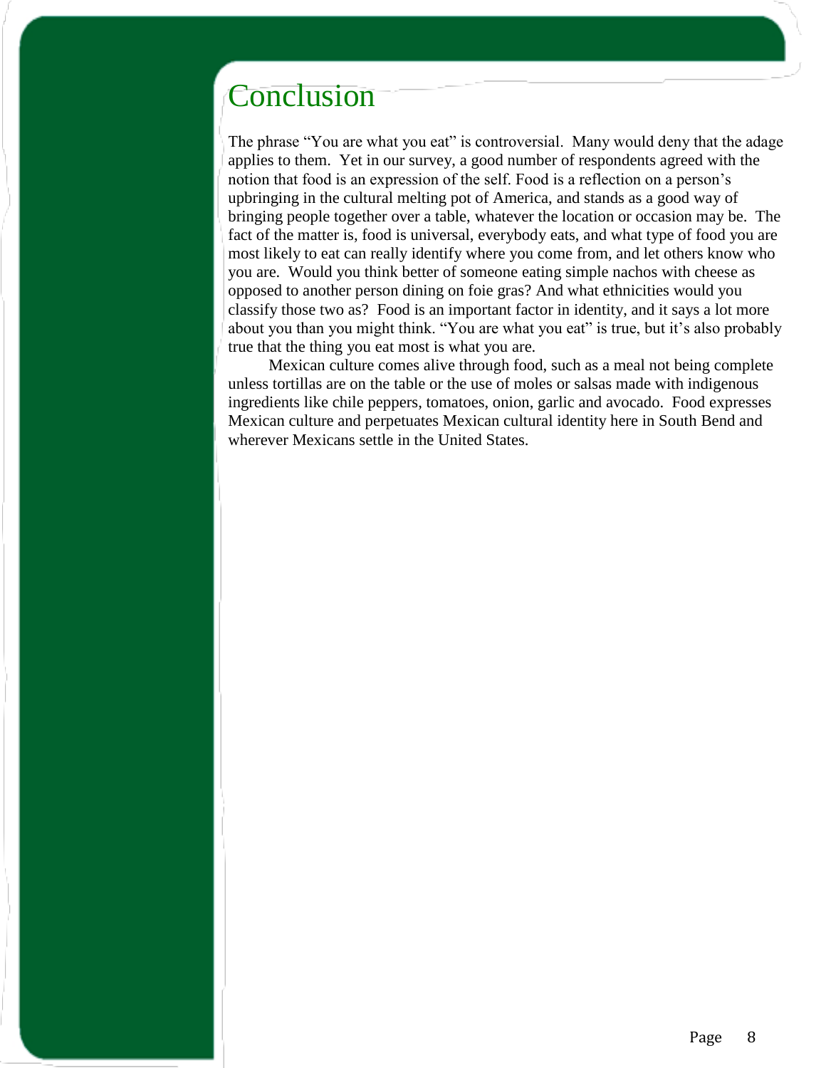## Conclusion

The phrase "You are what you eat" is controversial. Many would deny that the adage applies to them. Yet in our survey, a good number of respondents agreed with the notion that food is an expression of the self. Food is a reflection on a person's upbringing in the cultural melting pot of America, and stands as a good way of bringing people together over a table, whatever the location or occasion may be. The fact of the matter is, food is universal, everybody eats, and what type of food you are most likely to eat can really identify where you come from, and let others know who you are. Would you think better of someone eating simple nachos with cheese as opposed to another person dining on foie gras? And what ethnicities would you classify those two as? Food is an important factor in identity, and it says a lot more about you than you might think. "You are what you eat" is true, but it's also probably true that the thing you eat most is what you are.

 Mexican culture comes alive through food, such as a meal not being complete unless tortillas are on the table or the use of moles or salsas made with indigenous ingredients like chile peppers, tomatoes, onion, garlic and avocado. Food expresses Mexican culture and perpetuates Mexican cultural identity here in South Bend and wherever Mexicans settle in the United States.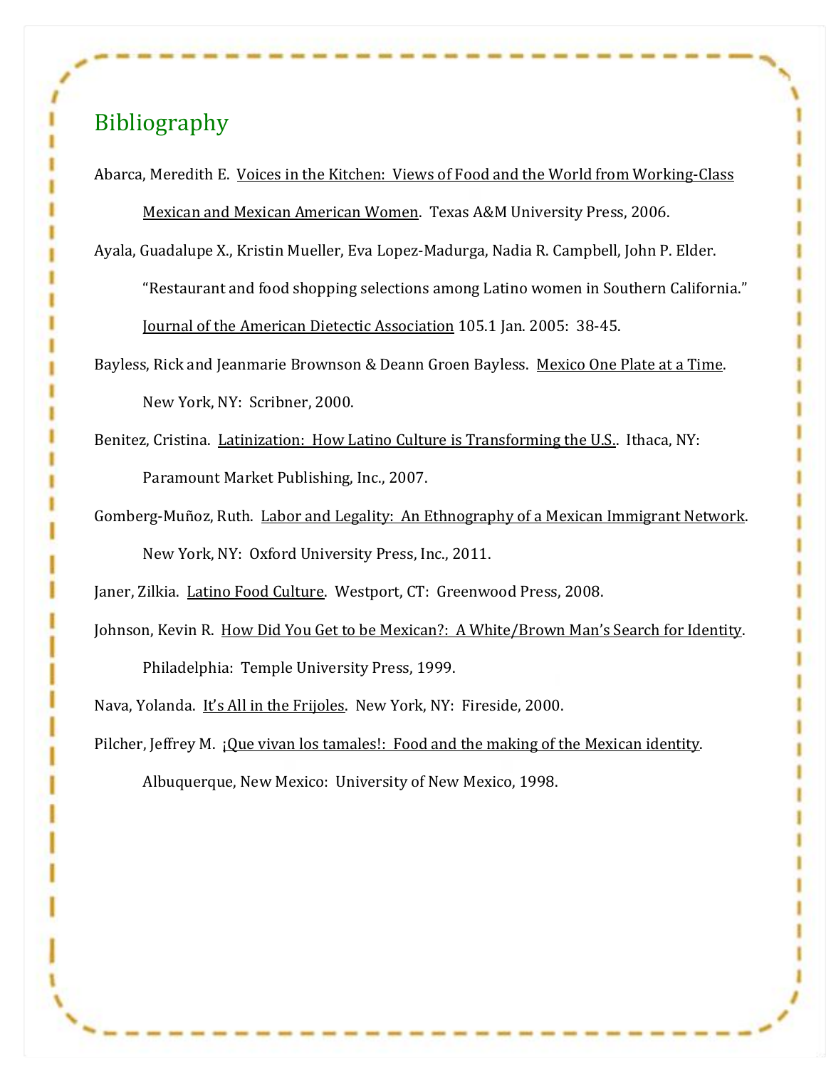## Bibliography

Abarca, Meredith E. Voices in the Kitchen: Views of Food and the World from Working-Class Mexican and Mexican American Women. Texas A&M University Press, 2006.

Ayala, Guadalupe X., Kristin Mueller, Eva Lopez-Madurga, Nadia R. Campbell, John P. Elder. "Restaurant and food shopping selections among Latino women in Southern California." Journal of the American Dietectic Association 105.1 Jan. 2005: 38-45.

Bayless, Rick and Jeanmarie Brownson & Deann Groen Bayless. Mexico One Plate at a Time. New York, NY: Scribner, 2000.

- Benitez, Cristina. Latinization: How Latino Culture is Transforming the U.S.. Ithaca, NY: Paramount Market Publishing, Inc., 2007.
- Gomberg-Muñoz, Ruth. Labor and Legality: An Ethnography of a Mexican Immigrant Network. New York, NY: Oxford University Press, Inc., 2011.

Janer, Zilkia. Latino Food Culture. Westport, CT: Greenwood Press, 2008.

Johnson, Kevin R. How Did You Get to be Mexican?: A White/Brown Man's Search for Identity. Philadelphia: Temple University Press, 1999.

Nava, Yolanda. It's All in the Frijoles. New York, NY: Fireside, 2000.

Pilcher, Jeffrey M. *¡Que vivan los tamales!*: Food and the making of the Mexican identity. Albuquerque, New Mexico: University of New Mexico, 1998.